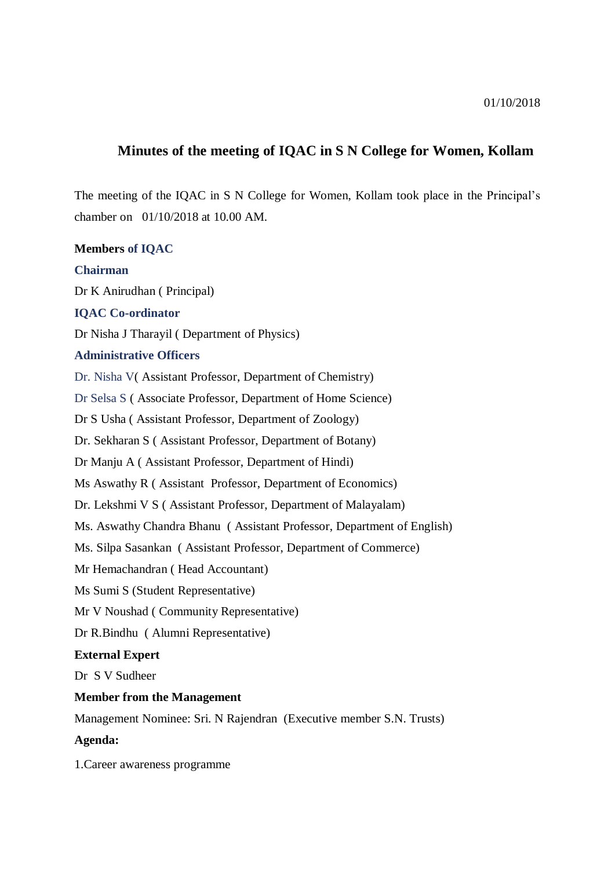# **Minutes of the meeting of IQAC in S N College for Women, Kollam**

The meeting of the IQAC in S N College for Women, Kollam took place in the Principal's chamber on 01/10/2018 at 10.00 AM.

**Members of IQAC**

## **Chairman**

Dr K Anirudhan ( Principal)

## **IQAC Co-ordinator**

Dr Nisha J Tharayil ( Department of Physics)

#### **Administrative Officers**

Dr. Nisha V( Assistant Professor, Department of Chemistry)

Dr Selsa S ( Associate Professor, Department of Home Science)

Dr S Usha ( Assistant Professor, Department of Zoology)

Dr. Sekharan S ( Assistant Professor, Department of Botany)

Dr Manju A ( Assistant Professor, Department of Hindi)

Ms Aswathy R ( Assistant Professor, Department of Economics)

Dr. Lekshmi V S ( Assistant Professor, Department of Malayalam)

Ms. Aswathy Chandra Bhanu ( Assistant Professor, Department of English)

Ms. Silpa Sasankan ( Assistant Professor, Department of Commerce)

Mr Hemachandran ( Head Accountant)

Ms Sumi S (Student Representative)

Mr V Noushad ( Community Representative)

Dr R.Bindhu ( Alumni Representative)

## **External Expert**

Dr S V Sudheer

## **Member from the Management**

Management Nominee: Sri. N Rajendran (Executive member S.N. Trusts)

## **Agenda:**

1.Career awareness programme